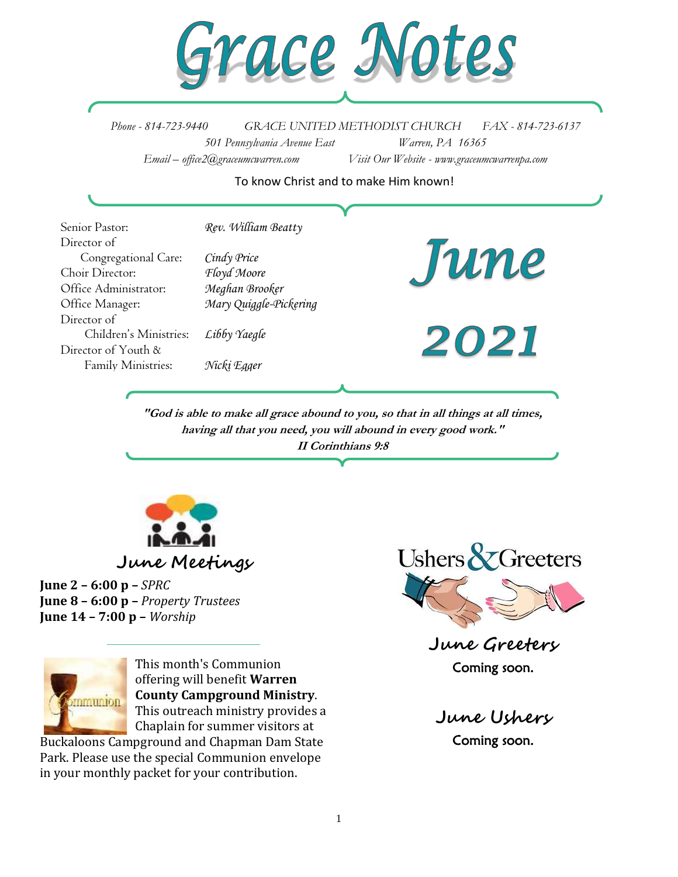

*Phone - 814-723-9440 GRACE UNITED METHODIST CHURCH FAX - 814-723-6137 501 Pennsylvania Avenue East Warren, PA 16365 Email – office2@graceumcwarren.com Visit Our Website - www.graceumcwarrenpa.com* 

#### To know Christ and to make Him known!

| Senior Pastor:         | Rev. William Beatty    |      |
|------------------------|------------------------|------|
| Director of            |                        |      |
| Congregational Care:   | Cindy Price            | Jun  |
| Choir Director:        | Floyd Moore            |      |
| Office Administrator:  | Meghan Brooker         |      |
| Office Manager:        | Mary Quiggle-Pickering |      |
| Director of            |                        |      |
| Children's Ministries: | Libby Yaegle           | 2021 |
| Director of Youth &    |                        |      |
| Family Ministries:     | Nicki Egger            |      |
|                        |                        |      |

**"God is able to make all grace abound to you, so that in all things at all times, having all that you need, you will abound in every good work." II Corinthians 9:8**



**June Meetings**

**June 2 – 6:00 p –** *SPRC* **June 8 – 6:00 p –** *Property Trustees* **June 14 – 7:00 p –** *Worship*



This month's Communion offering will benefit **Warren County Campground Ministry**. This outreach ministry provides a Chaplain for summer visitors at

Buckaloons Campground and Chapman Dam State Park. Please use the special Communion envelope in your monthly packet for your contribution.



**June Greeters** Coming soon.

**June Ushers** Coming soon.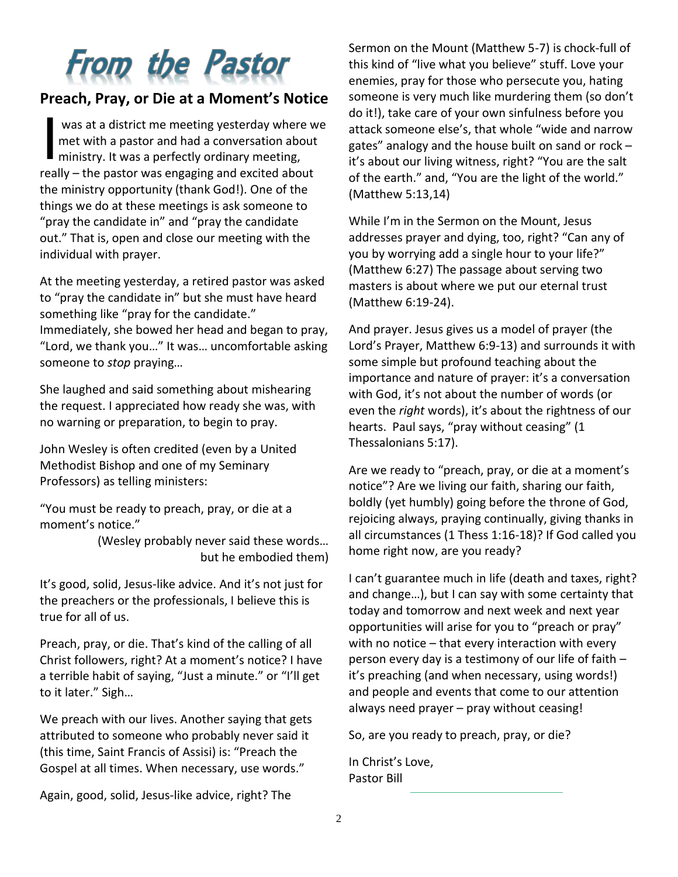# **From the Pastor**

# **Preach, Pray, or Die at a Moment's Notice**

was at a district me meeting yesterday where we met with a pastor and had a conversation about ministry. It was a perfectly ordinary meeting, really – the pastor was engaging and excited about the ministry opportunity (thank God!). One of the things we do at these meetings is ask someone to "pray the candidate in" and "pray the candidate out." That is, open and close our meeting with the individual with prayer. I

At the meeting yesterday, a retired pastor was asked to "pray the candidate in" but she must have heard something like "pray for the candidate." Immediately, she bowed her head and began to pray, "Lord, we thank you…" It was… uncomfortable asking someone to *stop* praying…

She laughed and said something about mishearing the request. I appreciated how ready she was, with no warning or preparation, to begin to pray.

John Wesley is often credited (even by a United Methodist Bishop and one of my Seminary Professors) as telling ministers:

"You must be ready to preach, pray, or die at a moment's notice."

> (Wesley probably never said these words… but he embodied them)

It's good, solid, Jesus-like advice. And it's not just for the preachers or the professionals, I believe this is true for all of us.

Preach, pray, or die. That's kind of the calling of all Christ followers, right? At a moment's notice? I have a terrible habit of saying, "Just a minute." or "I'll get to it later." Sigh…

We preach with our lives. Another saying that gets attributed to someone who probably never said it (this time, Saint Francis of Assisi) is: "Preach the Gospel at all times. When necessary, use words."

Again, good, solid, Jesus-like advice, right? The

Sermon on the Mount (Matthew 5-7) is chock-full of this kind of "live what you believe" stuff. Love your enemies, pray for those who persecute you, hating someone is very much like murdering them (so don't do it!), take care of your own sinfulness before you attack someone else's, that whole "wide and narrow gates" analogy and the house built on sand or rock – it's about our living witness, right? "You are the salt of the earth." and, "You are the light of the world." (Matthew 5:13,14)

While I'm in the Sermon on the Mount, Jesus addresses prayer and dying, too, right? "Can any of you by worrying add a single hour to your life?" (Matthew 6:27) The passage about serving two masters is about where we put our eternal trust (Matthew 6:19-24).

And prayer. Jesus gives us a model of prayer (the Lord's Prayer, Matthew 6:9-13) and surrounds it with some simple but profound teaching about the importance and nature of prayer: it's a conversation with God, it's not about the number of words (or even the *right* words), it's about the rightness of our hearts. Paul says, "pray without ceasing" (1 Thessalonians 5:17).

Are we ready to "preach, pray, or die at a moment's notice"? Are we living our faith, sharing our faith, boldly (yet humbly) going before the throne of God, rejoicing always, praying continually, giving thanks in all circumstances (1 Thess 1:16-18)? If God called you home right now, are you ready?

I can't guarantee much in life (death and taxes, right? and change…), but I can say with some certainty that today and tomorrow and next week and next year opportunities will arise for you to "preach or pray" with no notice – that every interaction with every person every day is a testimony of our life of faith – it's preaching (and when necessary, using words!) and people and events that come to our attention always need prayer – pray without ceasing!

So, are you ready to preach, pray, or die?

In Christ's Love, Pastor Bill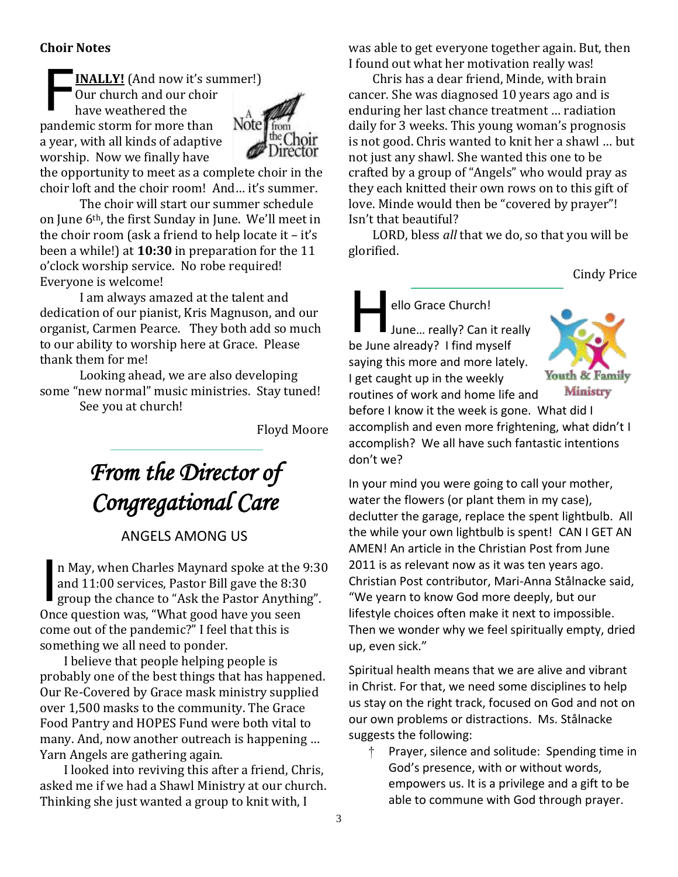### **Choir Notes**

**INALLY!** (And now it's summer!) Our church and our choir have weathered the pandemic storm for more than a year, with all kinds of adaptive worship. Now we finally have F



the opportunity to meet as a complete choir in the choir loft and the choir room! And… it's summer. The choir will start our summer schedule

on June 6th, the first Sunday in June. We'll meet in the choir room (ask a friend to help locate it – it's been a while!) at **10:30** in preparation for the 11 o'clock worship service. No robe required! Everyone is welcome!

I am always amazed at the talent and dedication of our pianist, Kris Magnuson, and our organist, Carmen Pearce. They both add so much to our ability to worship here at Grace. Please thank them for me!

Looking ahead, we are also developing some "new normal" music ministries. Stay tuned!

See you at church!

Floyd Moore

# *From the Director of Congregational Care*

# ANGELS AMONG US

n May, when Charles Maynard spoke at the 9:30 and 11:00 services, Pastor Bill gave the 8:30 group the chance to "Ask the Pastor Anything". Once question was, "What good have you seen come out of the pandemic?" I feel that this is something we all need to ponder. I

I believe that people helping people is probably one of the best things that has happened. Our Re-Covered by Grace mask ministry supplied over 1,500 masks to the community. The Grace Food Pantry and HOPES Fund were both vital to many. And, now another outreach is happening … Yarn Angels are gathering again.

I looked into reviving this after a friend, Chris, asked me if we had a Shawl Ministry at our church. Thinking she just wanted a group to knit with, I

was able to get everyone together again. But, then I found out what her motivation really was!

Chris has a dear friend, Minde, with brain cancer. She was diagnosed 10 years ago and is enduring her last chance treatment … radiation daily for 3 weeks. This young woman's prognosis is not good. Chris wanted to knit her a shawl … but not just any shawl. She wanted this one to be crafted by a group of "Angels" who would pray as they each knitted their own rows on to this gift of love. Minde would then be "covered by prayer"! Isn't that beautiful?

LORD, bless *all* that we do, so that you will be glorified.

Cindy Price

ello Grace Church! June… really? Can it really be June already? I find myself saying this more and more lately. I get caught up in the weekly routines of work and home life and H



before I know it the week is gone. What did I accomplish and even more frightening, what didn't I accomplish? We all have such fantastic intentions don't we?

In your mind you were going to call your mother, water the flowers (or plant them in my case), declutter the garage, replace the spent lightbulb. All the while your own lightbulb is spent! CAN I GET AN AMEN! An article in the Christian Post from June 2011 is as relevant now as it was ten years ago. Christian Post contributor, Mari-Anna Stålnacke said, "We yearn to know God more deeply, but our lifestyle choices often make it next to impossible. Then we wonder why we feel spiritually empty, dried up, even sick."

Spiritual health means that we are alive and vibrant in Christ. For that, we need some disciplines to help us stay on the right track, focused on God and not on our own problems or distractions. Ms. Stålnacke suggests the following:

Prayer, silence and solitude: Spending time in God's presence, with or without words, empowers us. It is a privilege and a gift to be able to commune with God through prayer.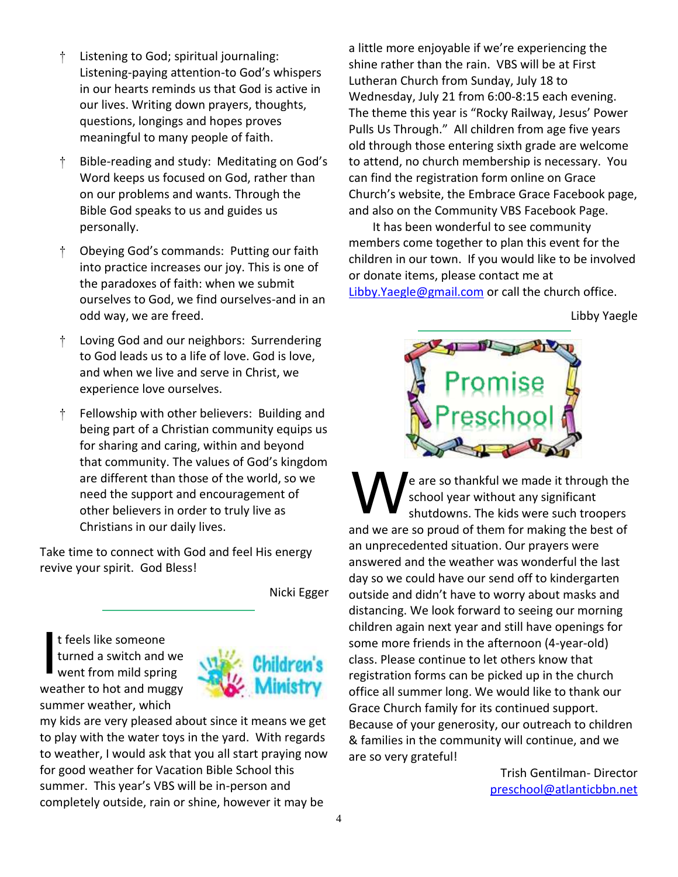- † Listening to God; spiritual journaling: Listening-paying attention-to God's whispers in our hearts reminds us that God is active in our lives. Writing down prayers, thoughts, questions, longings and hopes proves meaningful to many people of faith.
- † Bible-reading and study: Meditating on God's Word keeps us focused on God, rather than on our problems and wants. Through the Bible God speaks to us and guides us personally.
- † Obeying God's commands: Putting our faith into practice increases our joy. This is one of the paradoxes of faith: when we submit ourselves to God, we find ourselves-and in an odd way, we are freed.
- † Loving God and our neighbors: Surrendering to God leads us to a life of love. God is love, and when we live and serve in Christ, we experience love ourselves.
- † Fellowship with other believers: Building and being part of a Christian community equips us for sharing and caring, within and beyond that community. The values of God's kingdom are different than those of the world, so we need the support and encouragement of other believers in order to truly live as Christians in our daily lives.

Take time to connect with God and feel His energy revive your spirit. God Bless!

Nicki Egger

t feels like someone turned a switch and we went from mild spring weather to hot and muggy summer weather, which I



my kids are very pleased about since it means we get to play with the water toys in the yard. With regards to weather, I would ask that you all start praying now for good weather for Vacation Bible School this summer. This year's VBS will be in-person and completely outside, rain or shine, however it may be

a little more enjoyable if we're experiencing the shine rather than the rain. VBS will be at First Lutheran Church from Sunday, July 18 to Wednesday, July 21 from 6:00-8:15 each evening. The theme this year is "Rocky Railway, Jesus' Power Pulls Us Through." All children from age five years old through those entering sixth grade are welcome to attend, no church membership is necessary. You can find the registration form online on Grace Church's website, the Embrace Grace Facebook page, and also on the Community VBS Facebook Page.

It has been wonderful to see community members come together to plan this event for the children in our town. If you would like to be involved or donate items, please contact me at [Libby.Yaegle@gmail.com](mailto:Libby.Yaegle@gmail.com) or call the church office.

Libby Yaegle



e are so thankful we made it through the school year without any significant shutdowns. The kids were such troopers and we are so proud of them for making the best of an unprecedented situation. Our prayers were answered and the weather was wonderful the last day so we could have our send off to kindergarten outside and didn't have to worry about masks and distancing. We look forward to seeing our morning children again next year and still have openings for some more friends in the afternoon (4-year-old) class. Please continue to let others know that registration forms can be picked up in the church office all summer long. We would like to thank our Grace Church family for its continued support. Because of your generosity, our outreach to children & families in the community will continue, and we are so very grateful! W

> Trish Gentilman- Director [preschool@atlanticbbn.net](mailto:preschool@atlanticbbn.net)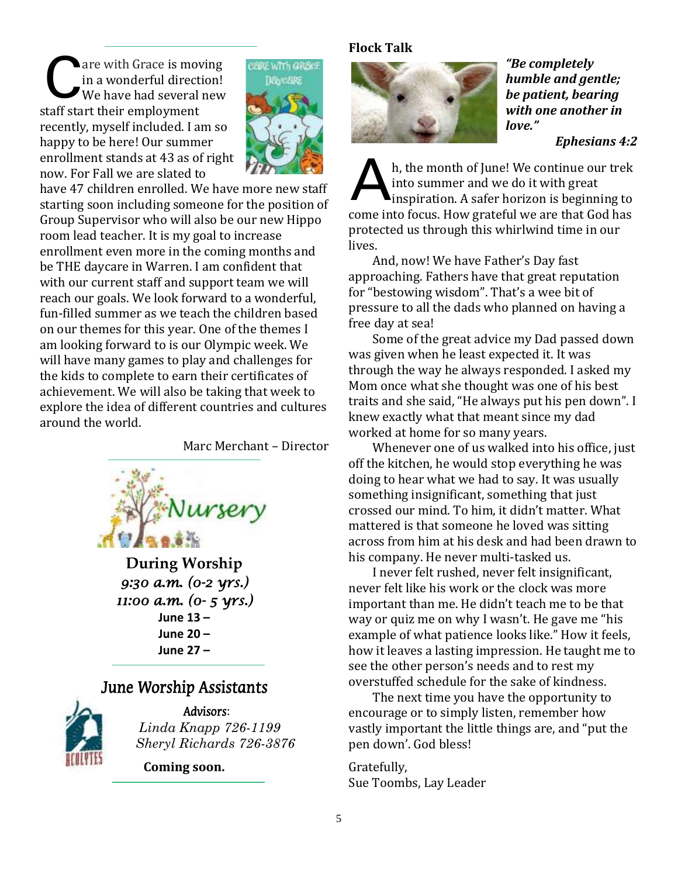are with Grace is moving in a wonderful direction! We have had several new staff start their employment recently, myself included. I am so happy to be here! Our summer enrollment stands at 43 as of right now. For Fall we are slated to C



have 47 children enrolled. We have more new staff starting soon including someone for the position of Group Supervisor who will also be our new Hippo room lead teacher. It is my goal to increase enrollment even more in the coming months and be THE daycare in Warren. I am confident that with our current staff and support team we will reach our goals. We look forward to a wonderful, fun-filled summer as we teach the children based on our themes for this year. One of the themes I am looking forward to is our Olympic week. We will have many games to play and challenges for the kids to complete to earn their certificates of achievement. We will also be taking that week to explore the idea of different countries and cultures around the world.

Marc Merchant – Director



**During Worship** *9:30 a.m. (0-2 yrs.) 11:00 a.m. (0- 5 yrs.)*  **June 13 – June 20 – June 27 –**

# June Worship Assistants



Advisors: *Linda Knapp 726-1199 Sheryl Richards 726-3876*

**Coming soon.**

#### **Flock Talk**



*"Be completely humble and gentle; be patient, bearing with one another in love."*

*Ephesians 4:2*

h, the month of June! We continue our trek into summer and we do it with great inspiration. A safer horizon is beginning to come into focus. How grateful we are that God has protected us through this whirlwind time in our lives. A

And, now! We have Father's Day fast approaching. Fathers have that great reputation for "bestowing wisdom". That's a wee bit of pressure to all the dads who planned on having a free day at sea!

Some of the great advice my Dad passed down was given when he least expected it. It was through the way he always responded. I asked my Mom once what she thought was one of his best traits and she said, "He always put his pen down". I knew exactly what that meant since my dad worked at home for so many years.

Whenever one of us walked into his office, just off the kitchen, he would stop everything he was doing to hear what we had to say. It was usually something insignificant, something that just crossed our mind. To him, it didn't matter. What mattered is that someone he loved was sitting across from him at his desk and had been drawn to his company. He never multi-tasked us.

I never felt rushed, never felt insignificant, never felt like his work or the clock was more important than me. He didn't teach me to be that way or quiz me on why I wasn't. He gave me "his example of what patience looks like." How it feels, how it leaves a lasting impression. He taught me to see the other person's needs and to rest my overstuffed schedule for the sake of kindness.

The next time you have the opportunity to encourage or to simply listen, remember how vastly important the little things are, and "put the pen down'. God bless!

Gratefully, Sue Toombs, Lay Leader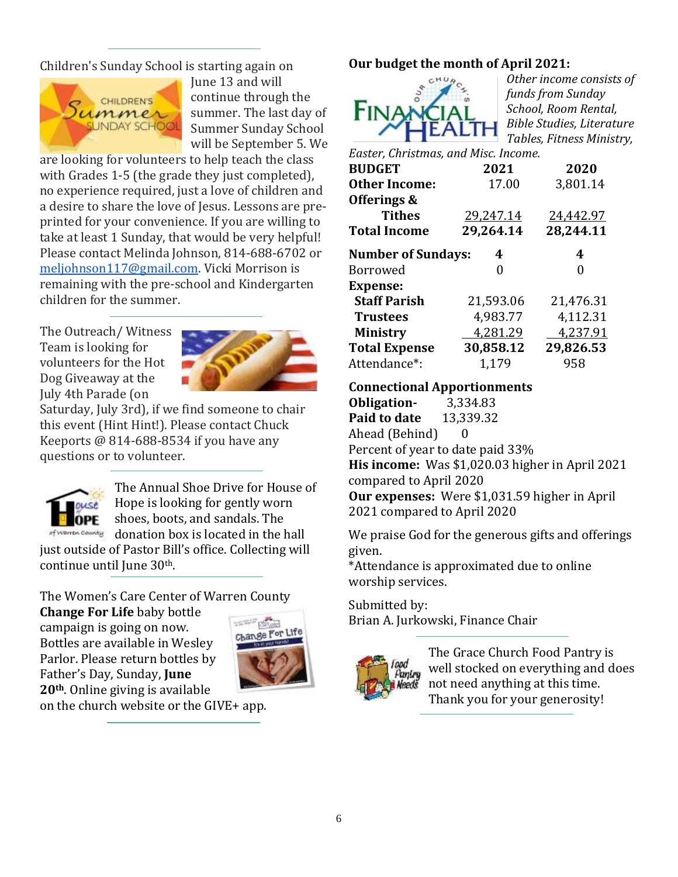Children's Sunday School is starting again on



June 13 and will continue through the summer. The last day of Summer Sunday School will be September 5. We

are looking for volunteers to help teach the class with Grades 1-5 (the grade they just completed), no experience required, just a love of children and a desire to share the love of Jesus. Lessons are preprinted for your convenience. If you are willing to take at least 1 Sunday, that would be very helpful! Please contact Melinda Johnson, 814-688-6702 or [meljohnson117@gmail.com.](mailto:meljohnson117@gmail.com) Vicki Morrison is remaining with the pre-school and Kindergarten children for the summer.

The Outreach/ Witness Team is looking for volunteers for the Hot Dog Giveaway at the July 4th Parade (on



Saturday, July 3rd), if we find someone to chair this event (Hint Hint!). Please contact Chuck Keeports @ 814-688-8534 if you have any questions or to volunteer.



The Annual Shoe Drive for House of Hope is looking for gently worn shoes, boots, and sandals. The of warren county donation box is located in the hall

just outside of Pastor Bill's office. Collecting will continue until June 30th.

The Women's Care Center of Warren County

**Change For Life** baby bottle campaign is going on now. Bottles are available in Wesley Parlor. Please return bottles by Father's Day, Sunday, **June 20th**. Online giving is available



on the church website or the GIVE+ app.

# **Our budget the month of April 2021:**



*Other income consists of funds from Sunday School, Room Rental, Bible Studies, Literature Tables, Fitness Ministry,* 

*Easter, Christmas, and Misc. Income.*

| <b>BUDGET</b>             | 2021      | 2020      |
|---------------------------|-----------|-----------|
| <b>Other Income:</b>      | 17.00     | 3,801.14  |
| Offerings &               |           |           |
| <b>Tithes</b>             | 29,247.14 | 24,442.97 |
| <b>Total Income</b>       | 29,264.14 | 28,244.11 |
| <b>Number of Sundays:</b> | 4         | 4         |
| <b>Borrowed</b>           | 0         | 0         |
| <b>Expense:</b>           |           |           |
| <b>Staff Parish</b>       | 21,593.06 | 21,476.31 |
| <b>Trustees</b>           | 4,983.77  | 4,112.31  |
| <b>Ministry</b>           | 4,281.29  | 4,237.91  |
| <b>Total Expense</b>      | 30,858.12 | 29,826.53 |
| Attendance*:              | 1,179     | 958       |

## **Connectional Apportionments**

**Obligation-** 3,334.83 **Paid to date** 13,339.32 Ahead (Behind) 0 Percent of year to date paid 33% **His income:** Was \$1,020.03 higher in April 2021 compared to April 2020 **Our expenses:** Were \$1,031.59 higher in April 2021 compared to April 2020

We praise God for the generous gifts and offerings given.

\*Attendance is approximated due to online worship services.

Submitted by:

Brian A. Jurkowski, Finance Chair



The Grace Church Food Pantry is well stocked on everything and does not need anything at this time. Thank you for your generosity!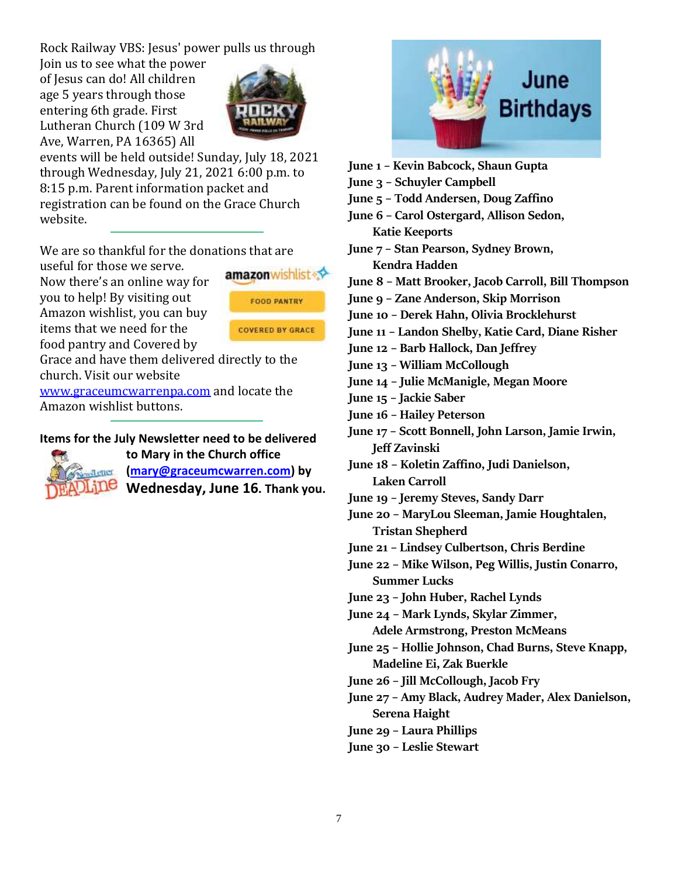Rock Railway VBS: Jesus' power pulls us through

Join us to see what the power of Jesus can do! All children age 5 years through those entering 6th grade. First Lutheran Church (109 W 3rd Ave, Warren, PA 16365) All



events will be held outside! Sunday, July 18, 2021 through Wednesday, July 21, 2021 6:00 p.m. to 8:15 p.m. Parent information packet and registration can be found on the Grace Church website.

We are so thankful for the donations that are

useful for those we serve. Now there's an online way for you to help! By visiting out Amazon wishlist, you can buy items that we need for the food pantry and Covered by



Grace and have them delivered directly to the church. Visit our website

[www.graceumcwarrenpa.com](http://www.graceumcwarrenpa.com/) and locate the Amazon wishlist buttons.

#### **Items for the July Newsletter need to be delivered**



**to Mary in the Church office [\(mary@graceumcwarren.com\)](mailto:mary@graceumcwarren.com) by Wednesday, June 16. Thank you.**



- **June 1 – Kevin Babcock, Shaun Gupta**
- **June 3 – Schuyler Campbell**
- **June 5 – Todd Andersen, Doug Zaffino**
- **June 6 – Carol Ostergard, Allison Sedon,**
- **Katie Keeports June 7 – Stan Pearson, Sydney Brown, Kendra Hadden**

**June 8 – Matt Brooker, Jacob Carroll, Bill Thompson**

- **June 9 – Zane Anderson, Skip Morrison**
- **June 10 – Derek Hahn, Olivia Brocklehurst**
- **June 11 – Landon Shelby, Katie Card, Diane Risher**
- **June 12 – Barb Hallock, Dan Jeffrey**
- **June 13 – William McCollough**

**June 14 – Julie McManigle, Megan Moore**

- **June 15 – Jackie Saber**
- **June 16 – Hailey Peterson**
- **June 17 – Scott Bonnell, John Larson, Jamie Irwin, Jeff Zavinski**
- **June 18 – Koletin Zaffino, Judi Danielson, Laken Carroll**
- **June 19 – Jeremy Steves, Sandy Darr**
- **June 20 – MaryLou Sleeman, Jamie Houghtalen, Tristan Shepherd**
- **June 21 – Lindsey Culbertson, Chris Berdine**

**June 22 – Mike Wilson, Peg Willis, Justin Conarro, Summer Lucks**

- **June 23 – John Huber, Rachel Lynds**
- **June 24 – Mark Lynds, Skylar Zimmer, Adele Armstrong, Preston McMeans**
- **June 25 – Hollie Johnson, Chad Burns, Steve Knapp, Madeline Ei, Zak Buerkle**
- **June 26 – Jill McCollough, Jacob Fry**
- **June 27 – Amy Black, Audrey Mader, Alex Danielson, Serena Haight**
- **June 29 – Laura Phillips**
- **June 30 – Leslie Stewart**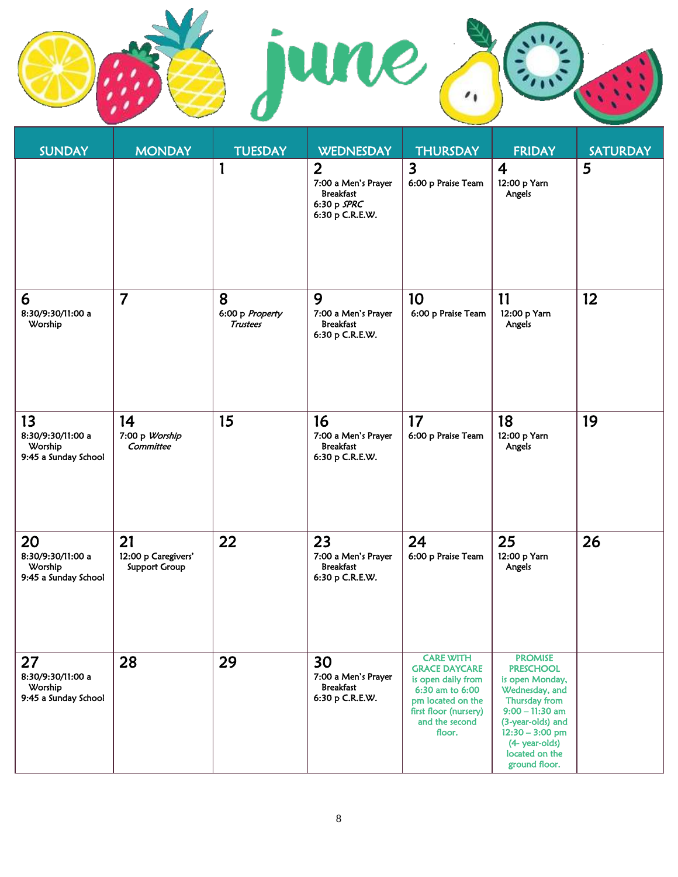

| <b>SUNDAY</b>                                              | <b>MONDAY</b>                                     | <b>TUESDAY</b>                          | <b>WEDNESDAY</b>                                                                              | <b>THURSDAY</b>                                                                                                                                             | <b>FRIDAY</b>                                                                                                                                                                                                | <b>SATURDAY</b> |
|------------------------------------------------------------|---------------------------------------------------|-----------------------------------------|-----------------------------------------------------------------------------------------------|-------------------------------------------------------------------------------------------------------------------------------------------------------------|--------------------------------------------------------------------------------------------------------------------------------------------------------------------------------------------------------------|-----------------|
|                                                            |                                                   | $\mathbf{1}$                            | $\overline{2}$<br>7:00 a Men's Prayer<br><b>Breakfast</b><br>6:30 p $SPRC$<br>6:30 p C.R.E.W. | $\overline{3}$<br>6:00 p Praise Team                                                                                                                        | $\overline{4}$<br>12:00 p Yarn<br>Angels                                                                                                                                                                     | 5               |
| 6<br>8:30/9:30/11:00 a<br>Worship                          | $\overline{7}$                                    | 8<br>6:00 p Property<br><b>Trustees</b> | 9<br>7:00 a Men's Prayer<br><b>Breakfast</b><br>6:30 p C.R.E.W.                               | 10<br>6:00 p Praise Team                                                                                                                                    | 11<br>12:00 p Yarn<br>Angels                                                                                                                                                                                 | 12 <sub>2</sub> |
| 13<br>8:30/9:30/11:00 a<br>Worship<br>9:45 a Sunday School | 14<br>7:00 p Worship<br>Committee                 | 15                                      | 16<br>7:00 a Men's Prayer<br><b>Breakfast</b><br>6:30 p C.R.E.W.                              | 17<br>6:00 p Praise Team                                                                                                                                    | 18<br>12:00 p Yarn<br>Angels                                                                                                                                                                                 | 19              |
| 20<br>8:30/9:30/11:00 a<br>Worship<br>9:45 a Sunday School | 21<br>12:00 p Caregivers'<br><b>Support Group</b> | 22                                      | 23<br>7:00 a Men's Prayer<br><b>Breakfast</b><br>6:30 p C.R.E.W.                              | 24<br>6:00 p Praise Team                                                                                                                                    | 25<br>12:00 p Yarn<br>Angels                                                                                                                                                                                 | 26              |
| 27<br>8:30/9:30/11:00 a<br>Worship<br>9:45 a Sunday School | 28                                                | 29                                      | 30<br>7:00 a Men's Prayer<br><b>Breakfast</b><br>6:30 p C.R.E.W.                              | <b>CARE WITH</b><br><b>GRACE DAYCARE</b><br>is open daily from<br>6:30 am to 6:00<br>pm located on the<br>first floor (nursery)<br>and the second<br>floor. | <b>PROMISE</b><br><b>PRESCHOOL</b><br>is open Monday,<br>Wednesday, and<br>Thursday from<br>$9:00 - 11:30$ am<br>(3-year-olds) and<br>$12:30 - 3:00$ pm<br>(4- year-olds)<br>located on the<br>ground floor. |                 |